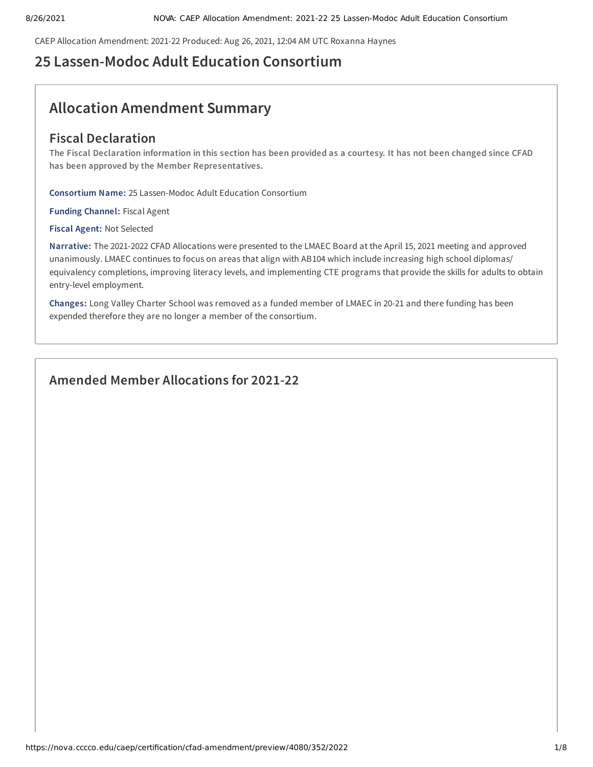CAEP Allocation Amendment: 2021-22 Produced: Aug 26, 2021, 12:04 AM UTC Roxanna Haynes

## **25 Lassen-Modoc Adult Education Consortium**

# **Allocation Amendment Summary**

## **Fiscal Declaration**

The Fiscal Declaration information in this section has been provided as a courtesy. It has not been changed since CFAD **has been approved by the Member Representatives.**

**Consortium Name:** 25 Lassen-Modoc Adult Education Consortium

**Funding Channel:** Fiscal Agent

**Fiscal Agent:** Not Selected

**Narrative:** The 2021-2022 CFAD Allocations were presented to the LMAEC Board at the April 15, 2021 meeting and approved unanimously. LMAEC continues to focus on areas that align with AB104 which include increasing high school diplomas/ equivalency completions, improving literacy levels, and implementing CTE programs that provide the skills for adults to obtain entry-level employment.

**Changes:** Long Valley Charter School was removed as a funded member of LMAEC in 20-21 and there funding has been expended therefore they are no longer a member of the consortium.

## **Amended Member Allocations for 2021-22**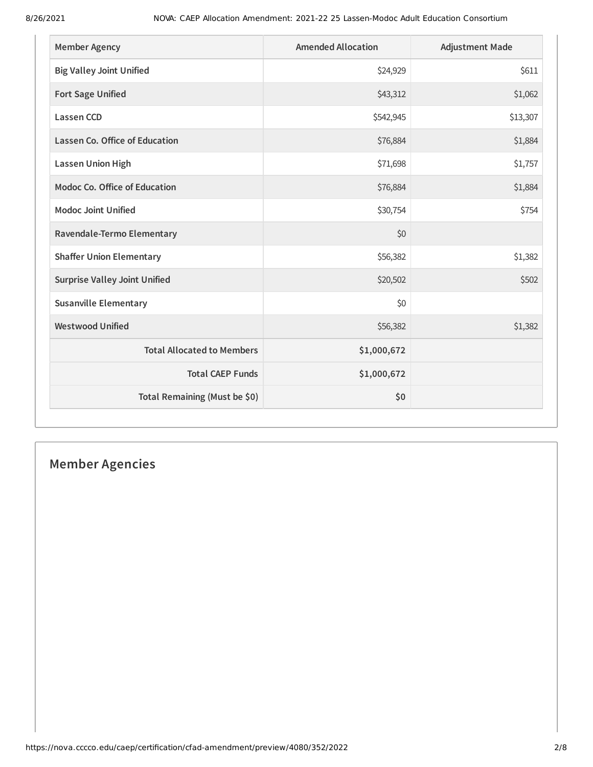| <b>Member Agency</b>                 | <b>Amended Allocation</b> | <b>Adjustment Made</b> |
|--------------------------------------|---------------------------|------------------------|
| <b>Big Valley Joint Unified</b>      | \$24,929                  | \$611                  |
| <b>Fort Sage Unified</b>             | \$43,312                  | \$1,062                |
| <b>Lassen CCD</b>                    | \$542,945                 | \$13,307               |
| Lassen Co. Office of Education       | \$76,884                  | \$1,884                |
| <b>Lassen Union High</b>             | \$71,698                  | \$1,757                |
| <b>Modoc Co. Office of Education</b> | \$76,884                  | \$1,884                |
| <b>Modoc Joint Unified</b>           | \$30,754                  | \$754                  |
| Ravendale-Termo Elementary           | \$0                       |                        |
| <b>Shaffer Union Elementary</b>      | \$56,382                  | \$1,382                |
| <b>Surprise Valley Joint Unified</b> | \$20,502                  | \$502                  |
| <b>Susanville Elementary</b>         | \$0                       |                        |
| <b>Westwood Unified</b>              | \$56,382                  | \$1,382                |
| <b>Total Allocated to Members</b>    | \$1,000,672               |                        |
| <b>Total CAEP Funds</b>              | \$1,000,672               |                        |
| Total Remaining (Must be \$0)        | \$0                       |                        |

# **Member Agencies**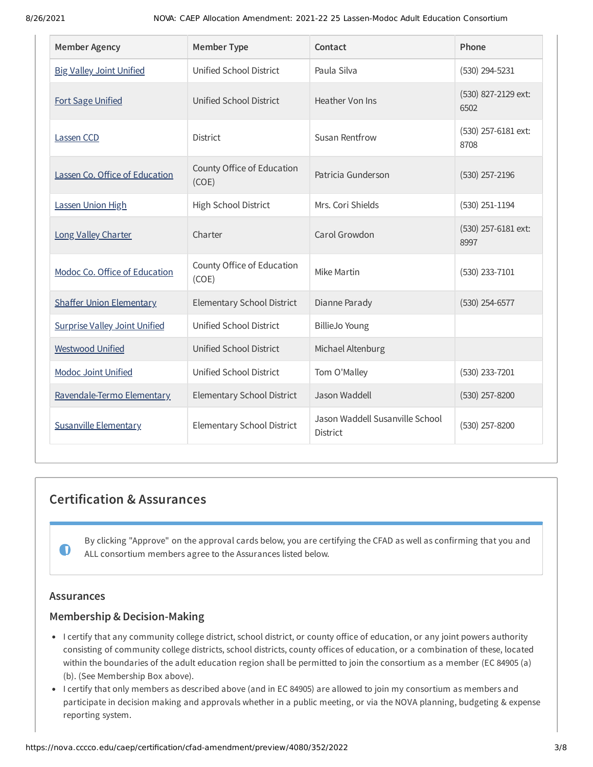| <b>Member Agency</b>                 | <b>Member Type</b>                  | Contact                                     | Phone                       |
|--------------------------------------|-------------------------------------|---------------------------------------------|-----------------------------|
| <b>Big Valley Joint Unified</b>      | Unified School District             | Paula Silva                                 | $(530)$ 294-5231            |
| <b>Fort Sage Unified</b>             | Unified School District             | Heather Von Ins                             | (530) 827-2129 ext:<br>6502 |
| Lassen CCD                           | <b>District</b>                     | Susan Rentfrow                              | (530) 257-6181 ext:<br>8708 |
| Lassen Co. Office of Education       | County Office of Education<br>(COE) | Patricia Gunderson                          | $(530)$ 257-2196            |
| Lassen Union High                    | High School District                | Mrs. Cori Shields                           | $(530)$ 251-1194            |
| Long Valley Charter                  | Charter                             | Carol Growdon                               | (530) 257-6181 ext:<br>8997 |
| Modoc Co. Office of Education        | County Office of Education<br>(COE) | Mike Martin                                 | (530) 233-7101              |
| <b>Shaffer Union Elementary</b>      | <b>Elementary School District</b>   | Dianne Parady                               | $(530)$ 254-6577            |
| <b>Surprise Valley Joint Unified</b> | Unified School District             | <b>BillieJo Young</b>                       |                             |
| <b>Westwood Unified</b>              | Unified School District             | Michael Altenburg                           |                             |
| <b>Modoc Joint Unified</b>           | Unified School District             | Tom O'Malley                                | (530) 233-7201              |
| Ravendale-Termo Elementary           | <b>Elementary School District</b>   | Jason Waddell                               | (530) 257-8200              |
| <b>Susanville Elementary</b>         | Elementary School District          | Jason Waddell Susanville School<br>District | (530) 257-8200              |

## **Certification & Assurances**

By clicking "Approve" on the approval cards below, you are certifying the CFAD as well as confirming that you and ALL consortium members agree to the Assurances listed below.

## **Assurances**

 $\mathbf 0$ 

## **Membership & Decision-Making**

- I certify that any community college district, school district, or county office of education, or any joint powers authority consisting of community college districts, school districts, county offices of education, or a combination of these, located within the boundaries of the adult education region shall be permitted to join the consortium as a member (EC 84905 (a) (b). (See Membership Box above).
- I certify that only members as described above (and in EC 84905) are allowed to join my consortium as members and participate in decision making and approvals whether in a public meeting, or via the NOVA planning, budgeting & expense reporting system.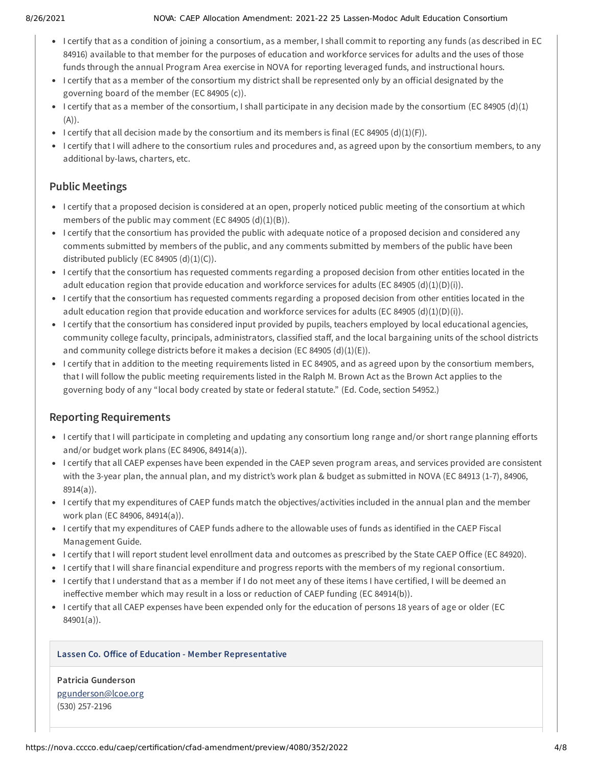#### 8/26/2021 NOVA: CAEP Allocation Amendment: 2021-22 25 Lassen-Modoc Adult Education Consortium

- I certify that as a condition of joining a consortium, as a member, I shall commit to reporting any funds (as described in EC 84916) available to that member for the purposes of education and workforce services for adults and the uses of those funds through the annual Program Area exercise in NOVA for reporting leveraged funds, and instructional hours.
- I certify that as a member of the consortium my district shall be represented only by an official designated by the governing board of the member (EC 84905 (c)).
- I certify that as a member of the consortium, I shall participate in any decision made by the consortium (EC 84905 (d)(1)  $(A)$ ).
- I certify that all decision made by the consortium and its members is final (EC 84905 (d)(1)(F)).
- I certify that I will adhere to the consortium rules and procedures and, as agreed upon by the consortium members, to any additional by-laws, charters, etc.

## **Public Meetings**

- I certify that a proposed decision is considered at an open, properly noticed public meeting of the consortium at which members of the public may comment (EC 84905  $(d)(1)(B)$ ).
- I certify that the consortium has provided the public with adequate notice of a proposed decision and considered any comments submitted by members of the public, and any comments submitted by members of the public have been distributed publicly (EC 84905  $(d)(1)(C)$ ).
- I certify that the consortium has requested comments regarding a proposed decision from other entities located in the adult education region that provide education and workforce services for adults (EC 84905 (d)(1)(D)(i)).
- I certify that the consortium has requested comments regarding a proposed decision from other entities located in the adult education region that provide education and workforce services for adults (EC 84905 (d)(1)(D)(i)).
- I certify that the consortium has considered input provided by pupils, teachers employed by local educational agencies, community college faculty, principals, administrators, classified staff, and the local bargaining units of the school districts and community college districts before it makes a decision (EC 84905 (d)(1)(E)).
- I certify that in addition to the meeting requirements listed in EC 84905, and as agreed upon by the consortium members, that I will follow the public meeting requirements listed in the Ralph M. Brown Act as the Brown Act applies to the governing body of any "local body created by state or federal statute." (Ed. Code, section 54952.)

## **Reporting Requirements**

- I certify that I will participate in completing and updating any consortium long range and/or short range planning efforts and/or budget work plans (EC 84906, 84914(a)).
- I certify that all CAEP expenses have been expended in the CAEP seven program areas, and services provided are consistent with the 3-year plan, the annual plan, and my district's work plan & budget as submitted in NOVA (EC 84913 (1-7), 84906, 8914(a)).
- I certify that my expenditures of CAEP funds match the objectives/activities included in the annual plan and the member work plan (EC 84906, 84914(a)).
- I certify that my expenditures of CAEP funds adhere to the allowable uses of funds as identified in the CAEP Fiscal Management Guide.
- I certify that I will report student level enrollment data and outcomes as prescribed by the State CAEP Office (EC 84920).
- I certify that I will share financial expenditure and progress reports with the members of my regional consortium.
- I certify that I understand that as a member if I do not meet any of these items I have certified, I will be deemed an ineffective member which may result in a loss or reduction of CAEP funding (EC 84914(b)).
- I certify that all CAEP expenses have been expended only for the education of persons 18 years of age or older (EC 84901(a)).

### **Lassen Co. Office of Education - Member Representative**

**Patricia Gunderson** [pgunderson@lcoe.org](mailto:pgunderson@lcoe.org) (530) 257-2196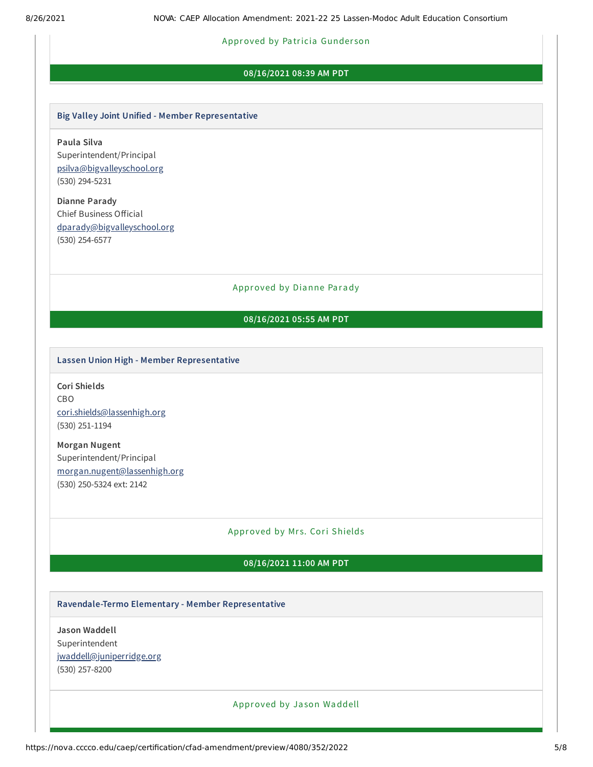#### Approved by Pa tricia Gunder son

#### **08/16/2021 08:39 AM PDT**

#### **Big Valley Joint Unified - Member Representative**

**Paula Silva** Superintendent/Principal [psilva@bigvalleyschool.org](mailto:psilva@bigvalleyschool.org) (530) 294-5231

**Dianne Parady** Chief Business Official [dparady@bigvalleyschool.org](mailto:dparady@bigvalleyschool.org) (530) 254-6577

#### Approved by Dianne Parady

### **08/16/2021 05:55 AM PDT**

#### **Lassen Union High - Member Representative**

**Cori Shields** CBO [cori.shields@lassenhigh.org](mailto:cori.shields@lassenhigh.org) (530) 251-1194

**Morgan Nugent** Superintendent/Principal [morgan.nugent@lassenhigh.org](mailto:morgan.nugent@lassenhigh.org) (530) 250-5324 ext: 2142

#### Approved by Mrs. Cori Shields

#### **08/16/2021 11:00 AM PDT**

#### **Ravendale-Termo Elementary - Member Representative**

**Jason Waddell** Superintendent [jwaddell@juniperridge.org](mailto:jwaddell@juniperridge.org) (530) 257-8200

#### Approved by Ja son Waddell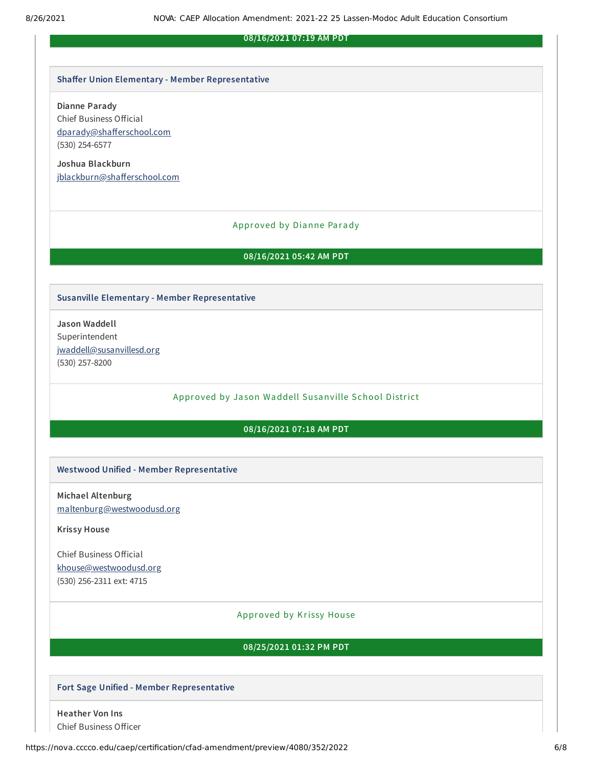#### **08/16/2021 07:19 AM PDT**

#### **Shaffer Union Elementary - Member Representative**

#### **Dianne Parady**

Chief Business Official [dparady@shafferschool.com](mailto:dparady@shafferschool.com) (530) 254-6577

**Joshua Blackburn** [jblackburn@shafferschool.com](mailto:jblackburn@shafferschool.com)

#### Approved by Dianne Parady

#### **08/16/2021 05:42 AM PDT**

#### **Susanville Elementary - Member Representative**

**Jason Waddell** Superintendent [jwaddell@susanvillesd.org](mailto:jwaddell@susanvillesd.org) (530) 257-8200

Approved by Ja son Waddell Susanville School District

## **08/16/2021 07:18 AM PDT**

#### **Westwood Unified - Member Representative**

**Michael Altenburg** [maltenburg@westwoodusd.org](mailto:maltenburg@westwoodusd.org)

**Krissy House**

Chief Business Official [khouse@westwoodusd.org](mailto:khouse@westwoodusd.org) (530) 256-2311 ext: 4715

#### Approved by Krissy House

#### **08/25/2021 01:32 PM PDT**

#### **Fort Sage Unified - Member Representative**

**Heather Von Ins** Chief Business Officer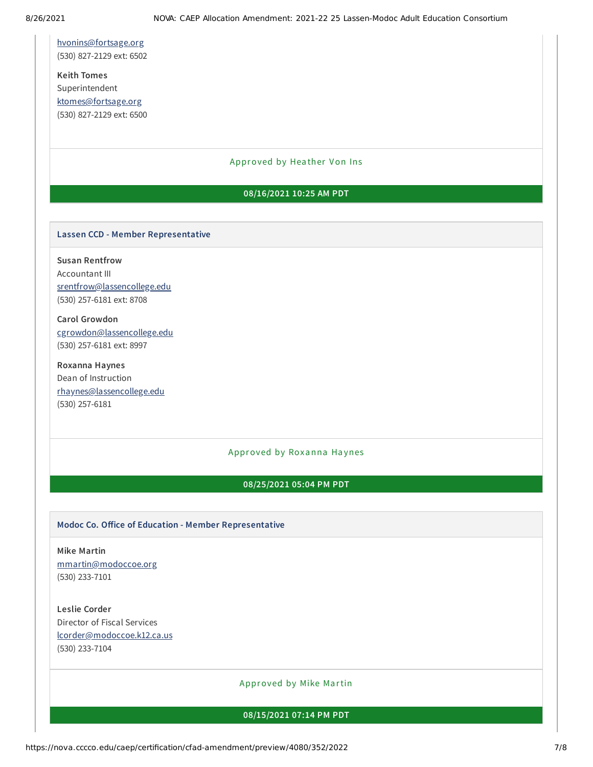[hvonins@fortsage.org](mailto:hvonins@fortsage.org) (530) 827-2129 ext: 6502

**Keith Tomes** Superintendent [ktomes@fortsage.org](mailto:ktomes@fortsage.org) (530) 827-2129 ext: 6500

#### Approved by Heather Von Ins

#### **08/16/2021 10:25 AM PDT**

#### **Lassen CCD - Member Representative**

**Susan Rentfrow** Accountant III [srentfrow@lassencollege.edu](mailto:srentfrow@lassencollege.edu) (530) 257-6181 ext: 8708

**Carol Growdon** [cgrowdon@lassencollege.edu](mailto:cgrowdon@lassencollege.edu) (530) 257-6181 ext: 8997

**Roxanna Haynes** Dean of Instruction [rhaynes@lassencollege.edu](mailto:rhaynes@lassencollege.edu) (530) 257-6181

#### Approved by Roxanna Haynes

#### **08/25/2021 05:04 PM PDT**

#### **Modoc Co. Office of Education - Member Representative**

**Mike Martin** [mmartin@modoccoe.org](mailto:mmartin@modoccoe.org) (530) 233-7101

**Leslie Corder** Director of Fiscal Services [lcorder@modoccoe.k12.ca.us](mailto:lcorder@modoccoe.k12.ca.us) (530) 233-7104

Approved by Mike Martin

**08/15/2021 07:14 PM PDT**